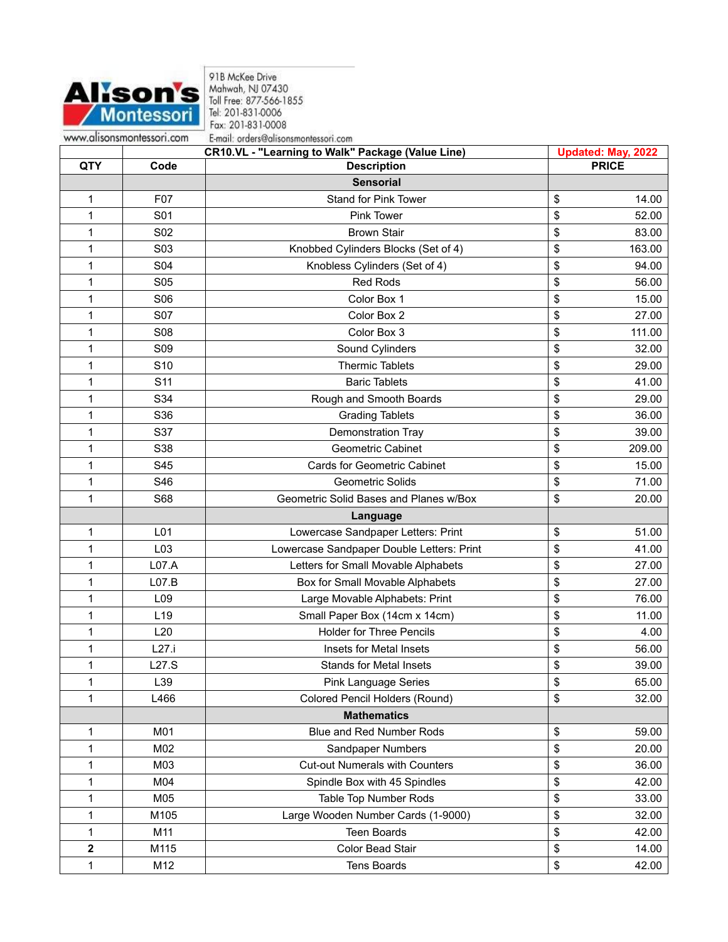

918 McKee Drive<br>Mahwah, NJ 07430<br>Toll Free: 877-566-1855<br>Tel: 201-831-0006 Fax: 201-831-0008 E-mail: orders@alisonsmontessori.com

|            |                 | <b>CR10.VL - "Learning to Walk" Package (Value Line)</b> |              | <b>Updated: May, 2022</b> |  |
|------------|-----------------|----------------------------------------------------------|--------------|---------------------------|--|
| <b>QTY</b> | Code            | <b>Description</b>                                       | <b>PRICE</b> |                           |  |
|            |                 | <b>Sensorial</b>                                         |              |                           |  |
| 1          | F07             | <b>Stand for Pink Tower</b>                              | \$           | 14.00                     |  |
| 1          | S01             | Pink Tower                                               | \$           | 52.00                     |  |
| 1          | S02             | <b>Brown Stair</b>                                       | \$           | 83.00                     |  |
| 1          | S03             | Knobbed Cylinders Blocks (Set of 4)                      | \$           | 163.00                    |  |
| 1          | S04             | Knobless Cylinders (Set of 4)                            | \$           | 94.00                     |  |
| 1          | <b>S05</b>      | Red Rods                                                 | \$           | 56.00                     |  |
| 1          | <b>S06</b>      | Color Box 1                                              | \$           | 15.00                     |  |
| 1          | <b>S07</b>      | Color Box 2                                              | \$           | 27.00                     |  |
| 1          | <b>S08</b>      | Color Box 3                                              | \$           | 111.00                    |  |
| 1          | <b>S09</b>      | Sound Cylinders                                          | \$           | 32.00                     |  |
| 1          | S <sub>10</sub> | <b>Thermic Tablets</b>                                   | \$           | 29.00                     |  |
| 1          | S <sub>11</sub> | <b>Baric Tablets</b>                                     | \$           | 41.00                     |  |
| 1          | S34             | Rough and Smooth Boards                                  | \$           | 29.00                     |  |
| 1          | S36             | <b>Grading Tablets</b>                                   | \$           | 36.00                     |  |
| 1          | S37             | Demonstration Tray                                       | \$           | 39.00                     |  |
| 1          | S38             | <b>Geometric Cabinet</b>                                 | \$           | 209.00                    |  |
| 1          | S45             | <b>Cards for Geometric Cabinet</b>                       | \$           | 15.00                     |  |
| 1          | S46             | Geometric Solids                                         | \$           | 71.00                     |  |
| 1          | S68             | Geometric Solid Bases and Planes w/Box                   | \$           | 20.00                     |  |
|            |                 | Language                                                 |              |                           |  |
| 1          | L01             | Lowercase Sandpaper Letters: Print                       | \$           | 51.00                     |  |
| 1          | L03             | Lowercase Sandpaper Double Letters: Print                | \$           | 41.00                     |  |
| 1          | L07.A           | Letters for Small Movable Alphabets                      | \$           | 27.00                     |  |
| 1          | L07.B           | Box for Small Movable Alphabets                          | \$           | 27.00                     |  |
| 1          | L09             | Large Movable Alphabets: Print                           | \$           | 76.00                     |  |
| 1          | L <sub>19</sub> | Small Paper Box (14cm x 14cm)                            | \$           | 11.00                     |  |
| 1          | L20             | <b>Holder for Three Pencils</b>                          | \$           | 4.00                      |  |
| 1          | L27.i           | Insets for Metal Insets                                  | \$           | 56.00                     |  |
| 1          | L27.S           | <b>Stands for Metal Insets</b>                           | \$           | 39.00                     |  |
| 1          | L39             | <b>Pink Language Series</b>                              | \$           | 65.00                     |  |
| 1          | L466            | Colored Pencil Holders (Round)                           | \$           | 32.00                     |  |
|            |                 | <b>Mathematics</b>                                       |              |                           |  |
| 1          | M01             | <b>Blue and Red Number Rods</b>                          | \$           | 59.00                     |  |
| 1          | M02             | Sandpaper Numbers                                        | \$           | 20.00                     |  |
| 1          | M03             | <b>Cut-out Numerals with Counters</b>                    | \$           | 36.00                     |  |
| 1          | M04             | Spindle Box with 45 Spindles                             | \$           | 42.00                     |  |
| 1          | M05             | Table Top Number Rods                                    | \$           | 33.00                     |  |
| 1          | M105            | Large Wooden Number Cards (1-9000)                       | \$           | 32.00                     |  |
| 1          | M11             | <b>Teen Boards</b>                                       | \$           | 42.00                     |  |
| 2          | M115            | Color Bead Stair                                         | \$           | 14.00                     |  |
| 1          | M12             | <b>Tens Boards</b>                                       | \$           | 42.00                     |  |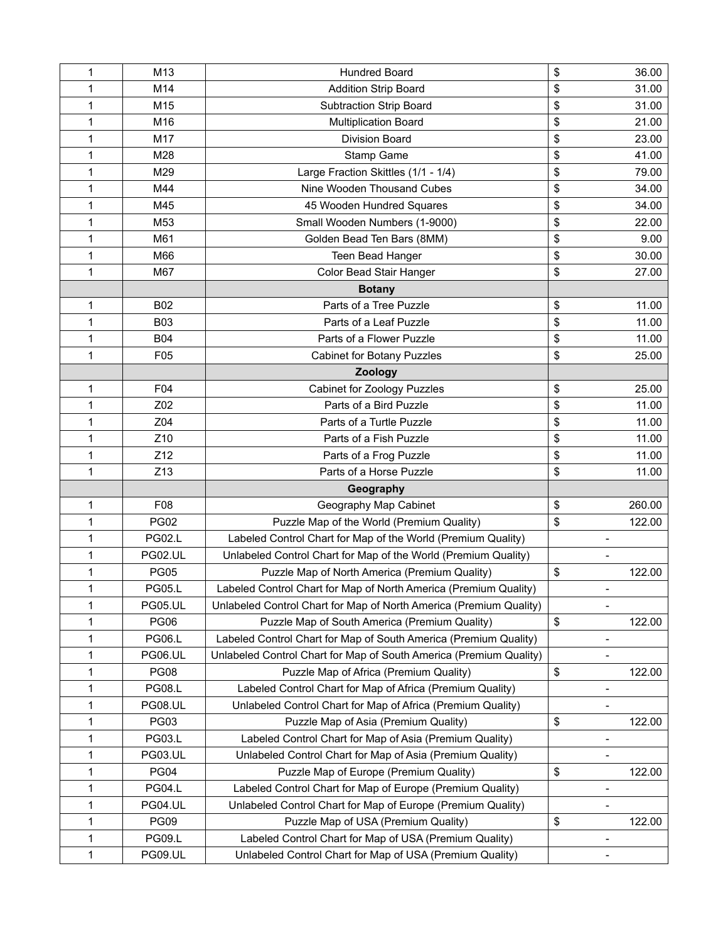| 1 | M13             | <b>Hundred Board</b>                                               | \$                       | 36.00  |
|---|-----------------|--------------------------------------------------------------------|--------------------------|--------|
| 1 | M14             | <b>Addition Strip Board</b>                                        | \$                       | 31.00  |
| 1 | M <sub>15</sub> | <b>Subtraction Strip Board</b>                                     | \$                       | 31.00  |
| 1 | M16             | <b>Multiplication Board</b>                                        | \$                       | 21.00  |
| 1 | M17             | <b>Division Board</b>                                              | \$                       | 23.00  |
| 1 | M28             | Stamp Game                                                         | \$                       | 41.00  |
| 1 | M29             | Large Fraction Skittles (1/1 - 1/4)                                | \$                       | 79.00  |
| 1 | M44             | Nine Wooden Thousand Cubes                                         | \$                       | 34.00  |
| 1 | M45             | 45 Wooden Hundred Squares                                          | \$                       | 34.00  |
| 1 | M53             | Small Wooden Numbers (1-9000)                                      | \$                       | 22.00  |
| 1 | M61             | Golden Bead Ten Bars (8MM)                                         | \$                       | 9.00   |
| 1 | M66             | Teen Bead Hanger                                                   | \$                       | 30.00  |
| 1 | M67             | Color Bead Stair Hanger                                            | \$                       | 27.00  |
|   |                 | <b>Botany</b>                                                      |                          |        |
| 1 | <b>B02</b>      | Parts of a Tree Puzzle                                             | \$                       | 11.00  |
| 1 | <b>B03</b>      | Parts of a Leaf Puzzle                                             | \$                       | 11.00  |
| 1 | <b>B04</b>      | Parts of a Flower Puzzle                                           | \$                       | 11.00  |
| 1 | F05             | <b>Cabinet for Botany Puzzles</b>                                  | \$                       | 25.00  |
|   |                 | <b>Zoology</b>                                                     |                          |        |
| 1 | F04             | Cabinet for Zoology Puzzles                                        | \$                       | 25.00  |
| 1 | Z02             | Parts of a Bird Puzzle                                             | \$                       | 11.00  |
| 1 | Z04             | Parts of a Turtle Puzzle                                           | \$                       | 11.00  |
| 1 | Z10             | Parts of a Fish Puzzle                                             | \$                       | 11.00  |
| 1 | Z12             | Parts of a Frog Puzzle                                             | \$                       | 11.00  |
| 1 | Z13             | Parts of a Horse Puzzle                                            | \$                       | 11.00  |
|   |                 | Geography                                                          |                          |        |
| 1 | F08             | Geography Map Cabinet                                              | \$                       | 260.00 |
| 1 | <b>PG02</b>     | Puzzle Map of the World (Premium Quality)                          | \$                       | 122.00 |
| 1 | <b>PG02.L</b>   | Labeled Control Chart for Map of the World (Premium Quality)       | $\blacksquare$           |        |
| 1 | <b>PG02.UL</b>  | Unlabeled Control Chart for Map of the World (Premium Quality)     |                          |        |
| 1 | <b>PG05</b>     | Puzzle Map of North America (Premium Quality)                      | \$                       | 122.00 |
| 1 | <b>PG05.L</b>   | Labeled Control Chart for Map of North America (Premium Quality)   | $\overline{\phantom{a}}$ |        |
| 1 | <b>PG05.UL</b>  | Unlabeled Control Chart for Map of North America (Premium Quality) | $\overline{a}$           |        |
| 1 | <b>PG06</b>     | Puzzle Map of South America (Premium Quality)                      | \$                       | 122.00 |
| 1 | <b>PG06.L</b>   | Labeled Control Chart for Map of South America (Premium Quality)   | $\overline{\phantom{a}}$ |        |
| 1 | <b>PG06.UL</b>  | Unlabeled Control Chart for Map of South America (Premium Quality) | $\overline{a}$           |        |
| 1 | <b>PG08</b>     | Puzzle Map of Africa (Premium Quality)                             | \$                       | 122.00 |
| 1 | <b>PG08.L</b>   | Labeled Control Chart for Map of Africa (Premium Quality)          | $\overline{a}$           |        |
| 1 | <b>PG08.UL</b>  | Unlabeled Control Chart for Map of Africa (Premium Quality)        |                          |        |
| 1 | <b>PG03</b>     | Puzzle Map of Asia (Premium Quality)                               | \$                       | 122.00 |
| 1 | <b>PG03.L</b>   | Labeled Control Chart for Map of Asia (Premium Quality)            | -                        |        |
| 1 | <b>PG03.UL</b>  | Unlabeled Control Chart for Map of Asia (Premium Quality)          | $\overline{a}$           |        |
| 1 | <b>PG04</b>     | Puzzle Map of Europe (Premium Quality)                             | \$                       | 122.00 |
| 1 | <b>PG04.L</b>   | Labeled Control Chart for Map of Europe (Premium Quality)          | $\overline{a}$           |        |
| 1 | <b>PG04.UL</b>  | Unlabeled Control Chart for Map of Europe (Premium Quality)        |                          |        |
| 1 | <b>PG09</b>     | Puzzle Map of USA (Premium Quality)                                | \$                       | 122.00 |
| 1 | <b>PG09.L</b>   | Labeled Control Chart for Map of USA (Premium Quality)             | $\overline{a}$           |        |
| 1 | <b>PG09.UL</b>  | Unlabeled Control Chart for Map of USA (Premium Quality)           | $\overline{a}$           |        |